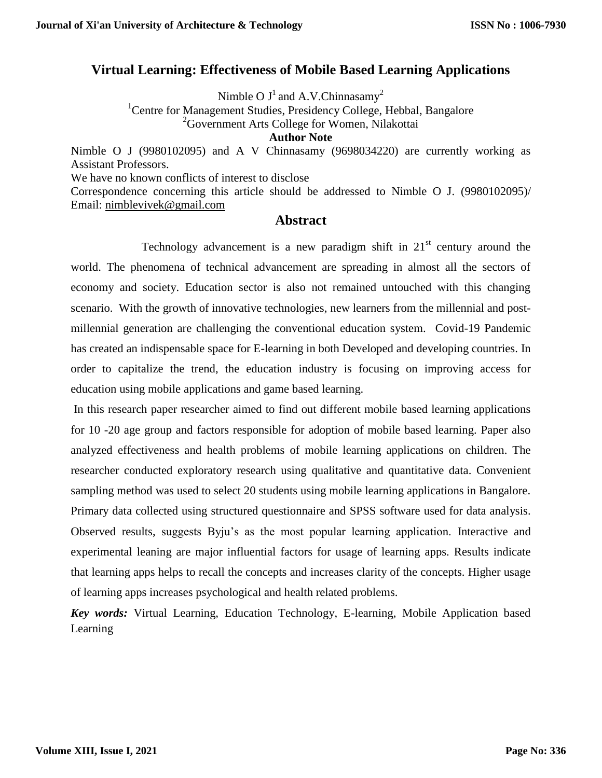# **Virtual Learning: Effectiveness of Mobile Based Learning Applications**

Nimble O  $J^1$  and A.V.Chinnasamy<sup>2</sup>

<sup>1</sup> Centre for Management Studies, Presidency College, Hebbal, Bangalore <sup>2</sup>Government Arts College for Women, Nilakottai

**Author Note**

Nimble O J (9980102095) and A V Chinnasamy (9698034220) are currently working as Assistant Professors.

We have no known conflicts of interest to disclose

Correspondence concerning this article should be addressed to Nimble O J. (9980102095)/ Email: [nimblevivek@gmail.com](mailto:nimblevivek@gmail.com)

### **Abstract**

Technology advancement is a new paradigm shift in  $21<sup>st</sup>$  century around the world. The phenomena of technical advancement are spreading in almost all the sectors of economy and society. Education sector is also not remained untouched with this changing scenario. With the growth of innovative technologies, new learners from the millennial and postmillennial generation are challenging the conventional education system. Covid-19 Pandemic has created an indispensable space for E-learning in both Developed and developing countries. In order to capitalize the trend, the education industry is focusing on improving access for education using mobile applications and game based learning.

In this research paper researcher aimed to find out different mobile based learning applications for 10 -20 age group and factors responsible for adoption of mobile based learning. Paper also analyzed effectiveness and health problems of mobile learning applications on children. The researcher conducted exploratory research using qualitative and quantitative data. Convenient sampling method was used to select 20 students using mobile learning applications in Bangalore. Primary data collected using structured questionnaire and SPSS software used for data analysis. Observed results, suggests Byju's as the most popular learning application. Interactive and experimental leaning are major influential factors for usage of learning apps. Results indicate that learning apps helps to recall the concepts and increases clarity of the concepts. Higher usage of learning apps increases psychological and health related problems.

*Key words:* Virtual Learning, Education Technology, E-learning, Mobile Application based Learning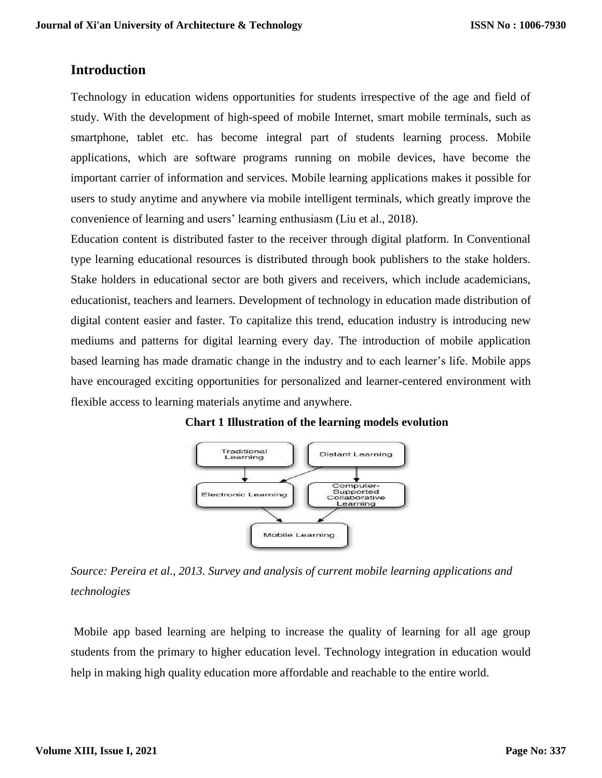# **Introduction**

Technology in education widens opportunities for students irrespective of the age and field of study. With the development of high-speed of mobile Internet, smart mobile terminals, such as smartphone, tablet etc. has become integral part of students learning process. Mobile applications, which are software programs running on mobile devices, have become the important carrier of information and services. Mobile learning applications makes it possible for users to study anytime and anywhere via mobile intelligent terminals, which greatly improve the convenience of learning and users' learning enthusiasm (Liu et al., 2018).

Education content is distributed faster to the receiver through digital platform. In Conventional type learning educational resources is distributed through book publishers to the stake holders. Stake holders in educational sector are both givers and receivers, which include academicians, educationist, teachers and learners. Development of technology in education made distribution of digital content easier and faster. To capitalize this trend, education industry is introducing new mediums and patterns for digital learning every day. The introduction of mobile application based learning has made dramatic change in the industry and to each learner's life. Mobile apps have encouraged exciting opportunities for personalized and learner-centered environment with flexible access to learning materials anytime and anywhere.



**Chart 1 Illustration of the learning models evolution**

*Source: Pereira et al., 2013. Survey and analysis of current mobile learning applications and technologies*

Mobile app based learning are helping to increase the quality of learning for all age group students from the primary to higher education level. Technology integration in education would help in making high quality education more affordable and reachable to the entire world.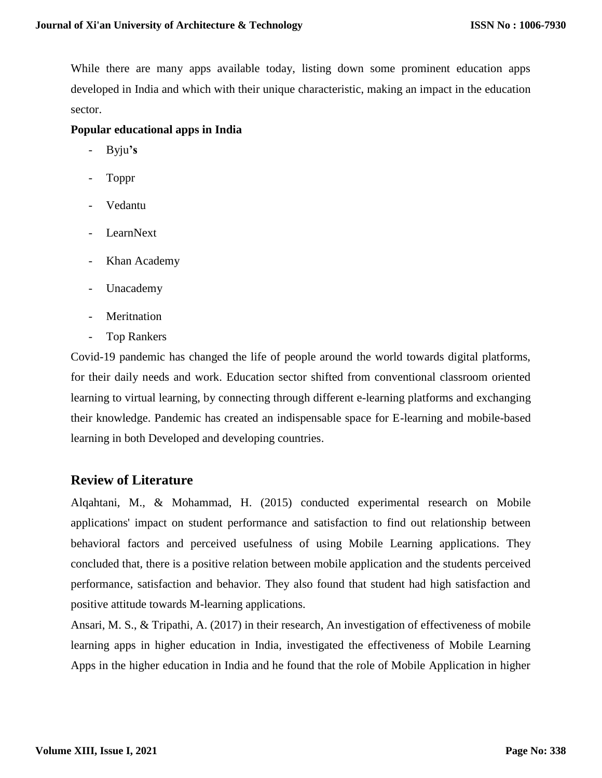While there are many apps available today, listing down some prominent education apps developed in India and which with their unique characteristic, making an impact in the education sector.

#### **Popular educational apps in India**

- [Byju](https://byjus.com/)**'s**
- Toppr
- Vedantu
- **LearnNext**
- Khan Academy
- Unacademy
- [Meritnation](https://www.meritnation.com/)
- Top [Rankers](https://www.toprankers.com/)

Covid-19 pandemic has changed the life of people around the world towards digital platforms, for their daily needs and work. Education sector shifted from conventional classroom oriented learning to virtual learning, by connecting through different e-learning platforms and exchanging their knowledge. Pandemic has created an indispensable space for E-learning and mobile-based learning in both Developed and developing countries.

### **Review of Literature**

Alqahtani, M., & Mohammad, H. (2015) conducted experimental research on Mobile applications' impact on student performance and satisfaction to find out relationship between behavioral factors and perceived usefulness of using Mobile Learning applications. They concluded that, there is a positive relation between mobile application and the students perceived performance, satisfaction and behavior. They also found that student had high satisfaction and positive attitude towards M-learning applications.

Ansari, M. S., & Tripathi, A. (2017) in their research, An investigation of effectiveness of mobile learning apps in higher education in India, investigated the effectiveness of Mobile Learning Apps in the higher education in India and he found that the role of Mobile Application in higher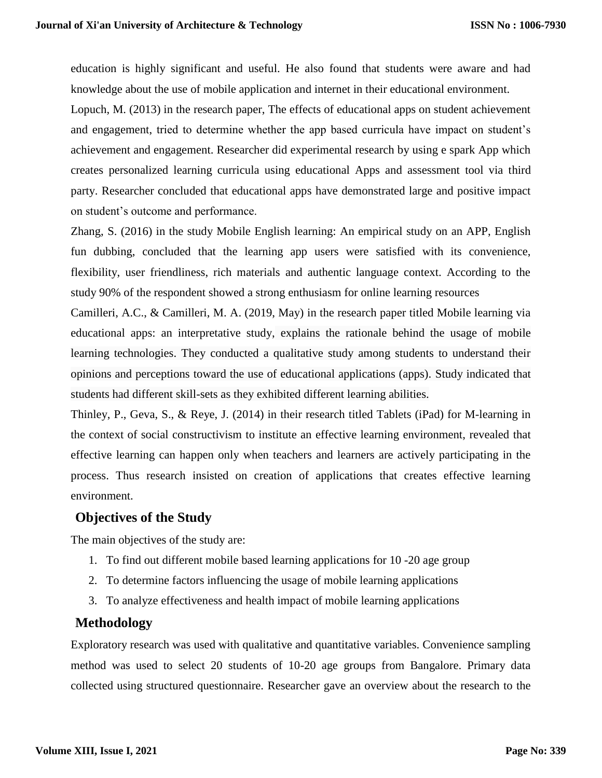education is highly significant and useful. He also found that students were aware and had knowledge about the use of mobile application and internet in their educational environment.

Lopuch, M. (2013) in the research paper, The effects of educational apps on student achievement and engagement, tried to determine whether the app based curricula have impact on student's achievement and engagement. Researcher did experimental research by using e spark App which creates personalized learning curricula using educational Apps and assessment tool via third party. Researcher concluded that educational apps have demonstrated large and positive impact on student's outcome and performance.

Zhang, S. (2016) in the study Mobile English learning: An empirical study on an APP, English fun dubbing, concluded that the learning app users were satisfied with its convenience, flexibility, user friendliness, rich materials and authentic language context. According to the study 90% of the respondent showed a strong enthusiasm for online learning resources

Camilleri, A.C., & Camilleri, M. A. (2019, May) in the research paper titled Mobile learning via educational apps: an interpretative study, explains the rationale behind the usage of mobile learning technologies. They conducted a qualitative study among students to understand their opinions and perceptions toward the use of educational applications (apps). Study indicated that students had different skill-sets as they exhibited different learning abilities.

Thinley, P., Geva, S., & Reye, J. (2014) in their research titled Tablets (iPad) for M-learning in the context of social constructivism to institute an effective learning environment, revealed that effective learning can happen only when teachers and learners are actively participating in the process. Thus research insisted on creation of applications that creates effective learning environment.

# **Objectives of the Study**

The main objectives of the study are:

- 1. To find out different mobile based learning applications for 10 -20 age group
- 2. To determine factors influencing the usage of mobile learning applications
- 3. To analyze effectiveness and health impact of mobile learning applications

# **Methodology**

Exploratory research was used with qualitative and quantitative variables. Convenience sampling method was used to select 20 students of 10-20 age groups from Bangalore. Primary data collected using structured questionnaire. Researcher gave an overview about the research to the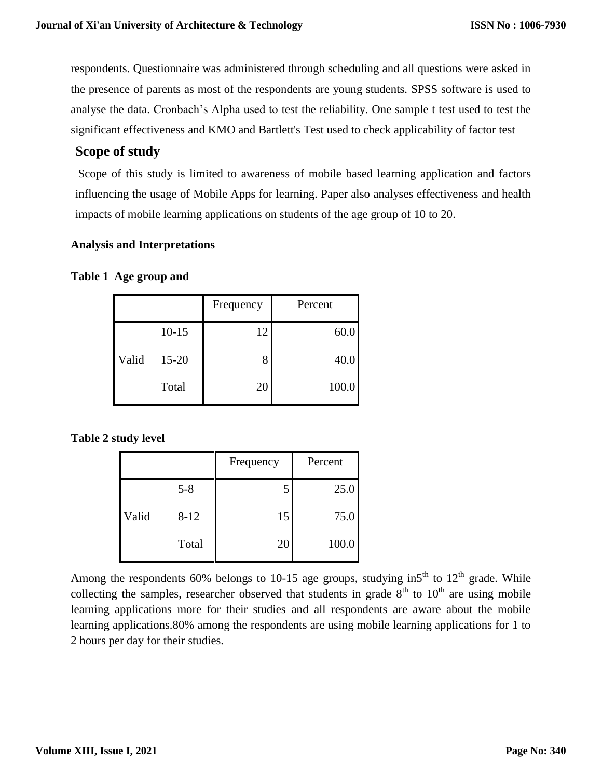respondents. Questionnaire was administered through scheduling and all questions were asked in the presence of parents as most of the respondents are young students. SPSS software is used to analyse the data. Cronbach's Alpha used to test the reliability. One sample t test used to test the significant effectiveness and KMO and Bartlett's Test used to check applicability of factor test

# **Scope of study**

Scope of this study is limited to awareness of mobile based learning application and factors influencing the usage of Mobile Apps for learning. Paper also analyses effectiveness and health impacts of mobile learning applications on students of the age group of 10 to 20.

#### **Analysis and Interpretations**

#### **Table 1 Age group and**

|       |           | Frequency | Percent |
|-------|-----------|-----------|---------|
|       | $10 - 15$ | 12        | 60.0    |
| Valid | $15 - 20$ | 8         | 40.0    |
|       | Total     | 20        | 100.0   |

#### **Table 2 study level**

|       |          | Frequency | Percent |
|-------|----------|-----------|---------|
|       | $5 - 8$  | 5         | 25.0    |
| Valid | $8 - 12$ | 15        | 75.0    |
|       | Total    | 20        | 100.0   |

Among the respondents 60% belongs to 10-15 age groups, studying in5<sup>th</sup> to  $12<sup>th</sup>$  grade. While collecting the samples, researcher observed that students in grade  $8<sup>th</sup>$  to  $10<sup>th</sup>$  are using mobile learning applications more for their studies and all respondents are aware about the mobile learning applications.80% among the respondents are using mobile learning applications for 1 to 2 hours per day for their studies.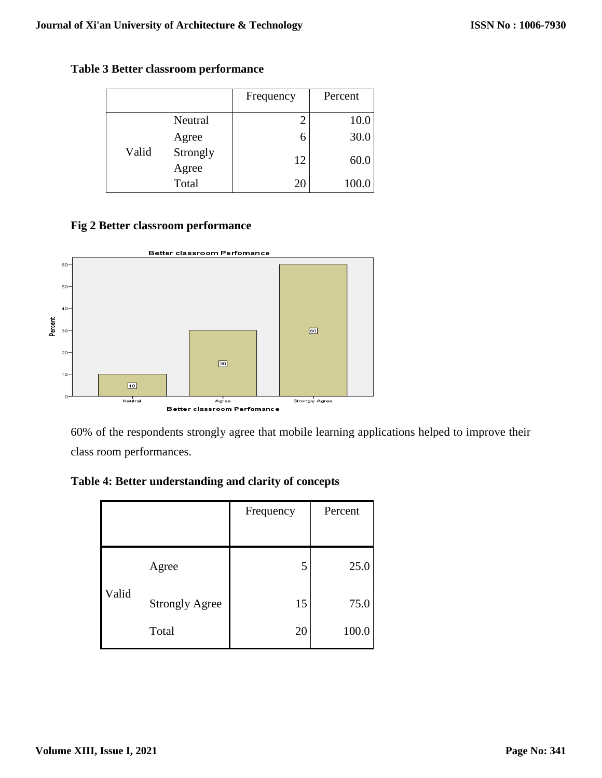**Table 3 Better classroom performance**

|       |                   | Frequency | Percent |
|-------|-------------------|-----------|---------|
|       | Neutral           | 2         | 10.0    |
|       | Agree             | 6         | 30.0    |
| Valid | Strongly<br>Agree | 12        | 60.0    |
|       | Total             | 20        | 100.0   |

### **Fig 2 Better classroom performance**



60% of the respondents strongly agree that mobile learning applications helped to improve their class room performances.

**Table 4: Better understanding and clarity of concepts**

|       |                       | Frequency | Percent |
|-------|-----------------------|-----------|---------|
|       |                       |           |         |
|       | Agree                 | 5         | 25.0    |
| Valid | <b>Strongly Agree</b> | 15        | 75.0    |
|       | Total                 | 20        | 100.0   |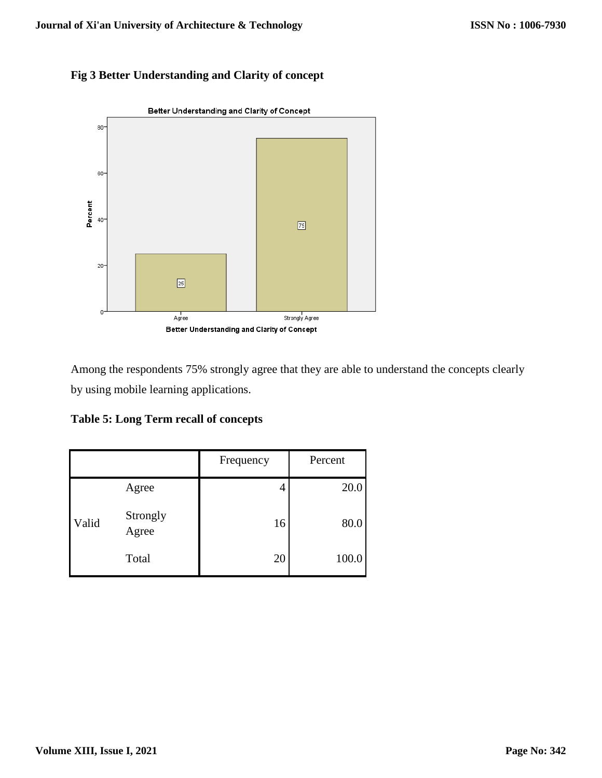# **Fig 3 Better Understanding and Clarity of concept**



Among the respondents 75% strongly agree that they are able to understand the concepts clearly by using mobile learning applications.

**Table 5: Long Term recall of concepts**

|       |                   | Frequency | Percent |
|-------|-------------------|-----------|---------|
|       | Agree             |           | 20.0    |
| Valid | Strongly<br>Agree | 16        | 80.0    |
|       | Total             | 20        | 100.0   |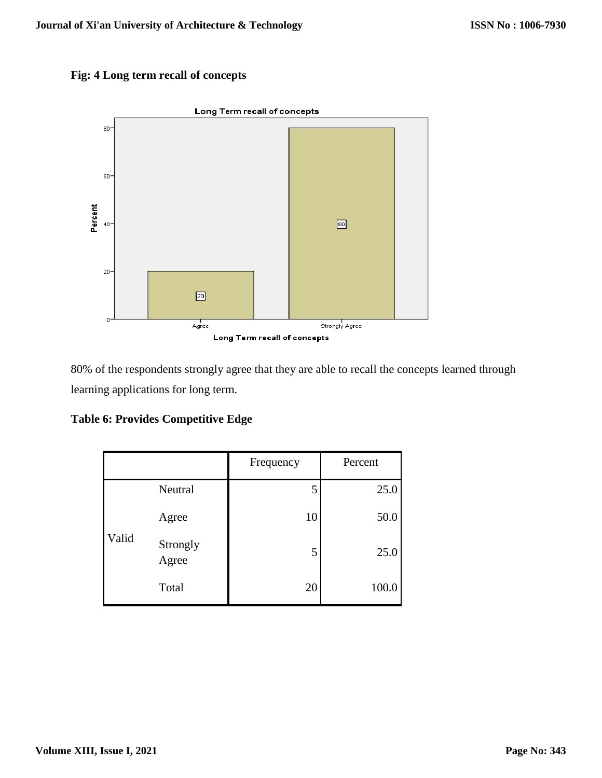



80% of the respondents strongly agree that they are able to recall the concepts learned through learning applications for long term.

| <b>Table 6: Provides Competitive Edge</b> |  |  |  |  |
|-------------------------------------------|--|--|--|--|
|-------------------------------------------|--|--|--|--|

|       |                   | Frequency | Percent |
|-------|-------------------|-----------|---------|
|       | Neutral           | 5         | 25.0    |
|       | Agree             | 10        | 50.0    |
| Valid | Strongly<br>Agree | 5         | 25.0    |
|       | Total             | 20        | 100.0   |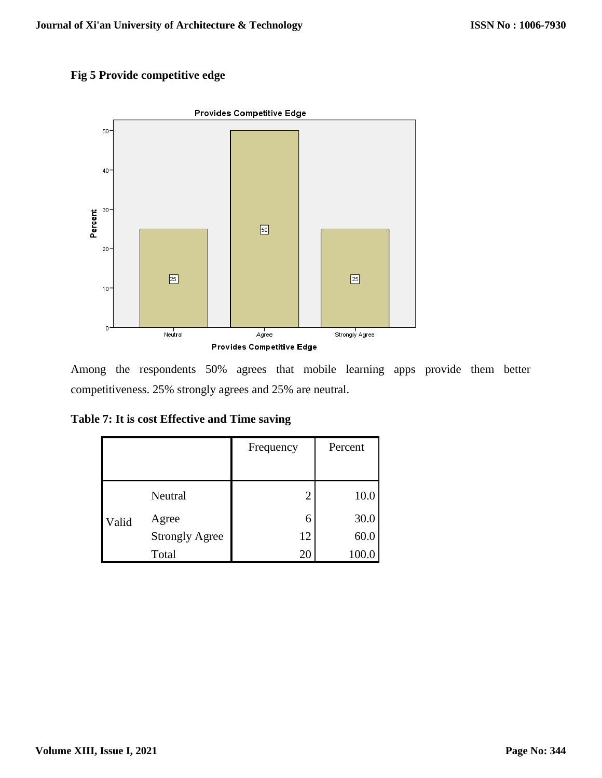# **Fig 5 Provide competitive edge**



Among the respondents 50% agrees that mobile learning apps provide them better competitiveness. 25% strongly agrees and 25% are neutral.

| Table 7: It is cost Effective and Time saving |  |  |  |  |  |  |  |  |  |  |  |
|-----------------------------------------------|--|--|--|--|--|--|--|--|--|--|--|
|-----------------------------------------------|--|--|--|--|--|--|--|--|--|--|--|

|       |                       | Frequency | Percent |
|-------|-----------------------|-----------|---------|
|       |                       |           |         |
|       | Neutral               | 2         | 10.0    |
| Valid | Agree                 | 6         | 30.0    |
|       | <b>Strongly Agree</b> | 12        | 60.0    |
|       | Total                 | 20        | 100.0   |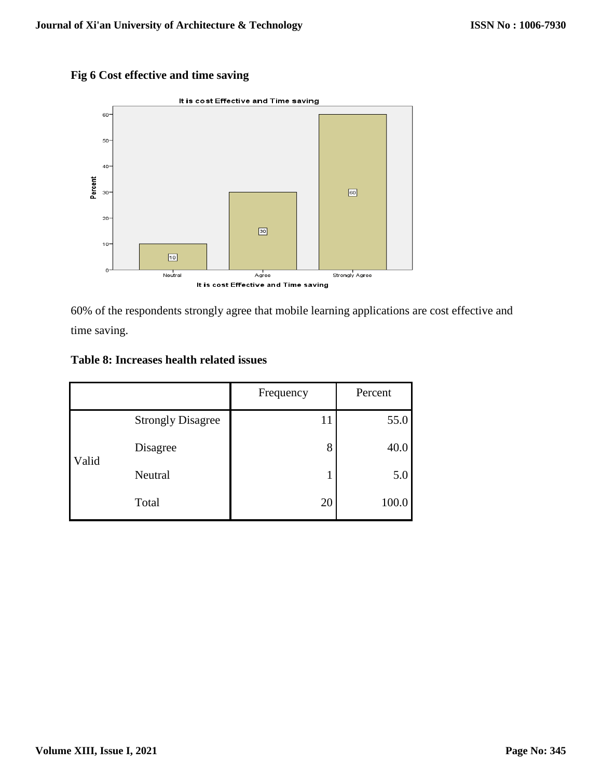# **Fig 6 Cost effective and time saving**



60% of the respondents strongly agree that mobile learning applications are cost effective and time saving.

#### **Table 8: Increases health related issues**

|       |                          | Frequency | Percent |
|-------|--------------------------|-----------|---------|
|       | <b>Strongly Disagree</b> | 11        | 55.0    |
| Valid | Disagree                 | 8         | 40.0    |
|       | Neutral                  |           | 5.0     |
|       | Total                    | 20        | 100.0   |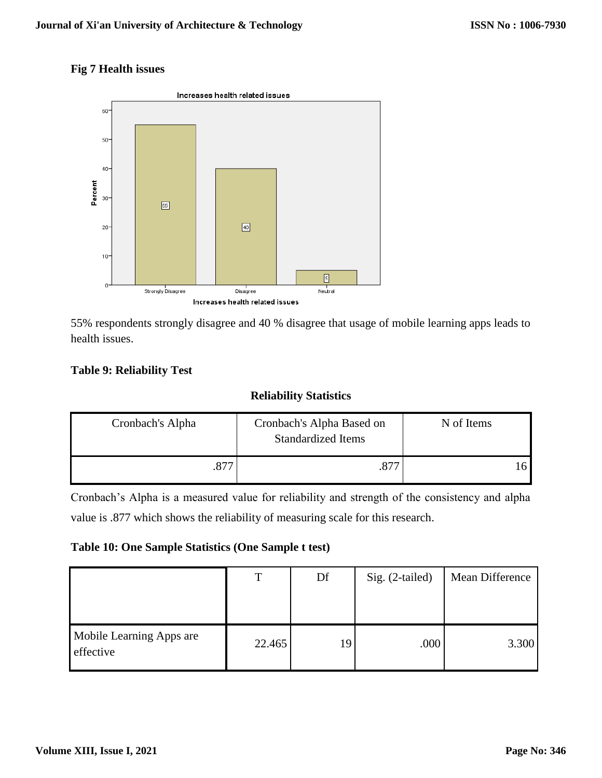### **Fig 7 Health issues**



55% respondents strongly disagree and 40 % disagree that usage of mobile learning apps leads to health issues.

### **Table 9: Reliability Test**

# **Reliability Statistics**

| Cronbach's Alpha | Cronbach's Alpha Based on<br><b>Standardized Items</b> | N of Items |  |
|------------------|--------------------------------------------------------|------------|--|
|                  |                                                        |            |  |

Cronbach's Alpha is a measured value for reliability and strength of the consistency and alpha value is .877 which shows the reliability of measuring scale for this research.

#### **Table 10: One Sample Statistics (One Sample t test)**

|                                       | Т      | Df | Sig. (2-tailed) | Mean Difference |
|---------------------------------------|--------|----|-----------------|-----------------|
| Mobile Learning Apps are<br>effective | 22.465 | 19 | .000            | 3.300           |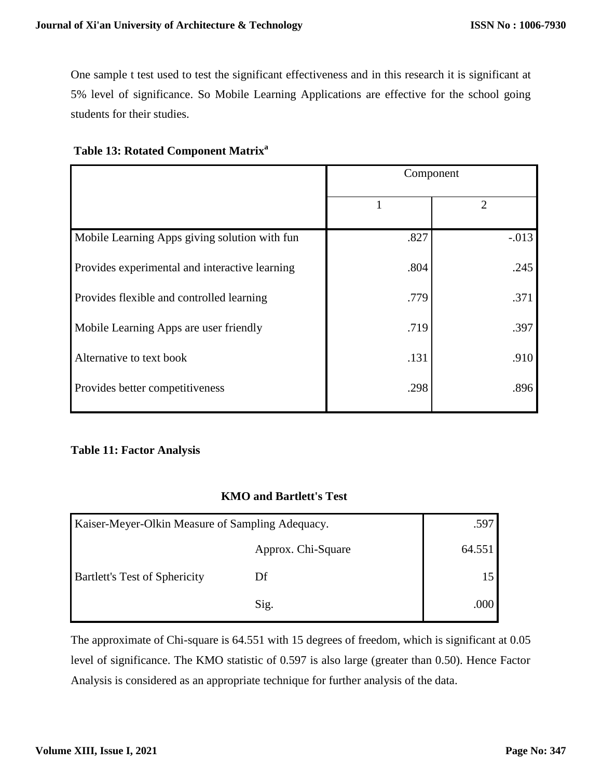One sample t test used to test the significant effectiveness and in this research it is significant at 5% level of significance. So Mobile Learning Applications are effective for the school going students for their studies.

|  | Table 13: Rotated Component Matrix <sup>a</sup> |  |
|--|-------------------------------------------------|--|
|  |                                                 |  |

|                                                | Component |                |  |
|------------------------------------------------|-----------|----------------|--|
|                                                |           | $\overline{2}$ |  |
| Mobile Learning Apps giving solution with fun  | .827      | $-.013$        |  |
| Provides experimental and interactive learning | .804      | .245           |  |
| Provides flexible and controlled learning      | .779      | .371           |  |
| Mobile Learning Apps are user friendly         | .719      | .397           |  |
| Alternative to text book                       | .131      | .910           |  |
| Provides better competitiveness                | .298      | .896           |  |

#### **Table 11: Factor Analysis**

### **KMO and Bartlett's Test**

| Kaiser-Meyer-Olkin Measure of Sampling Adequacy. |                    | .597   |
|--------------------------------------------------|--------------------|--------|
|                                                  | Approx. Chi-Square | 64.551 |
| <b>Bartlett's Test of Sphericity</b>             | Df                 |        |
|                                                  | Sig.               | .000   |

The approximate of Chi-square is 64.551 with 15 degrees of freedom, which is significant at 0.05 level of significance. The KMO statistic of 0.597 is also large (greater than 0.50). Hence Factor Analysis is considered as an appropriate technique for further analysis of the data.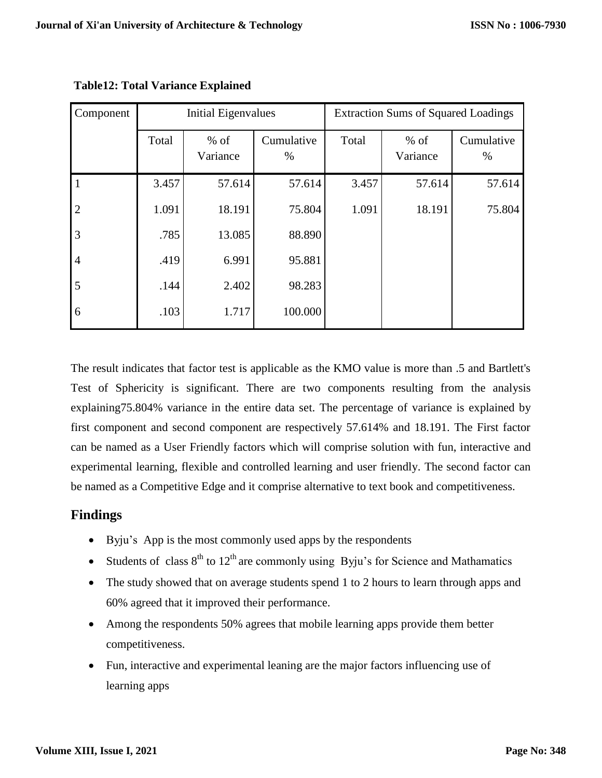| Component      | Initial Eigenvalues |                    |                    | <b>Extraction Sums of Squared Loadings</b> |                    |                    |
|----------------|---------------------|--------------------|--------------------|--------------------------------------------|--------------------|--------------------|
|                | Total               | $%$ of<br>Variance | Cumulative<br>$\%$ | Total                                      | $%$ of<br>Variance | Cumulative<br>$\%$ |
|                | 3.457               | 57.614             | 57.614             | 3.457                                      | 57.614             | 57.614             |
| $\overline{2}$ | 1.091               | 18.191             | 75.804             | 1.091                                      | 18.191             | 75.804             |
| $\overline{3}$ | .785                | 13.085             | 88.890             |                                            |                    |                    |
| $\overline{4}$ | .419                | 6.991              | 95.881             |                                            |                    |                    |
| 5              | .144                | 2.402              | 98.283             |                                            |                    |                    |
| 6              | .103                | 1.717              | 100.000            |                                            |                    |                    |

**Table12: Total Variance Explained**

The result indicates that factor test is applicable as the KMO value is more than .5 and Bartlett's Test of Sphericity is significant. There are two components resulting from the analysis explaining75.804% variance in the entire data set. The percentage of variance is explained by first component and second component are respectively 57.614% and 18.191. The First factor can be named as a User Friendly factors which will comprise solution with fun, interactive and experimental learning, flexible and controlled learning and user friendly. The second factor can be named as a Competitive Edge and it comprise alternative to text book and competitiveness.

# **Findings**

- Byju's App is the most commonly used apps by the respondents
- Students of class  $8<sup>th</sup>$  to  $12<sup>th</sup>$  are commonly using Byju's for Science and Mathamatics
- The study showed that on average students spend 1 to 2 hours to learn through apps and 60% agreed that it improved their performance.
- Among the respondents 50% agrees that mobile learning apps provide them better competitiveness.
- Fun, interactive and experimental leaning are the major factors influencing use of learning apps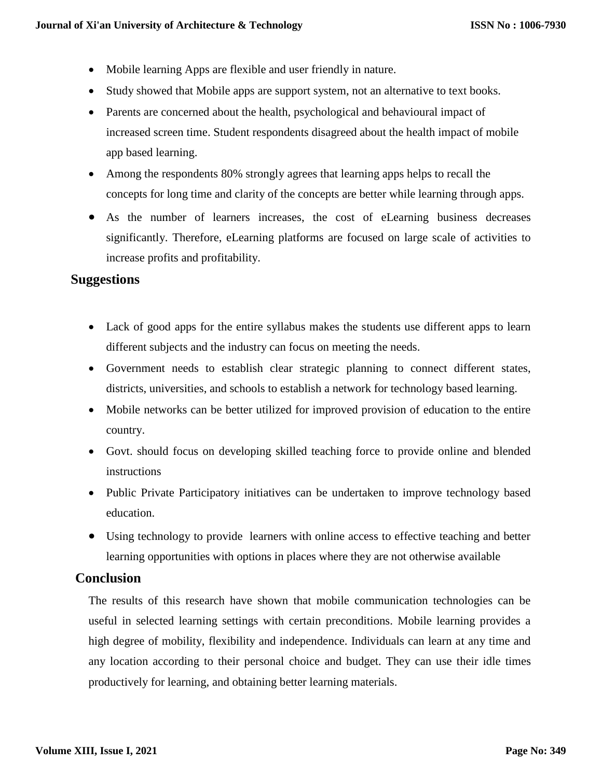- Mobile learning Apps are flexible and user friendly in nature.
- Study showed that Mobile apps are support system, not an alternative to text books.
- Parents are concerned about the health, psychological and behavioural impact of increased screen time. Student respondents disagreed about the health impact of mobile app based learning.
- Among the respondents 80% strongly agrees that learning apps helps to recall the concepts for long time and clarity of the concepts are better while learning through apps.
- As the number of learners increases, the cost of eLearning business decreases significantly. Therefore, eLearning platforms are focused on large scale of activities to increase profits and profitability.

# **Suggestions**

- Lack of good apps for the entire syllabus makes the students use different apps to learn different subjects and the industry can focus on meeting the needs.
- Government needs to establish clear strategic planning to connect different states, districts, universities, and schools to establish a network for technology based learning.
- Mobile networks can be better utilized for improved provision of education to the entire country.
- Govt. should focus on developing skilled teaching force to provide online and blended instructions
- Public Private Participatory initiatives can be undertaken to improve technology based education.
- Using technology to provide learners with online access to effective teaching and better learning opportunities with options in places where they are not otherwise available

### **Conclusion**

The results of this research have shown that mobile communication technologies can be useful in selected learning settings with certain preconditions. Mobile learning provides a high degree of mobility, flexibility and independence. Individuals can learn at any time and any location according to their personal choice and budget. They can use their idle times productively for learning, and obtaining better learning materials.